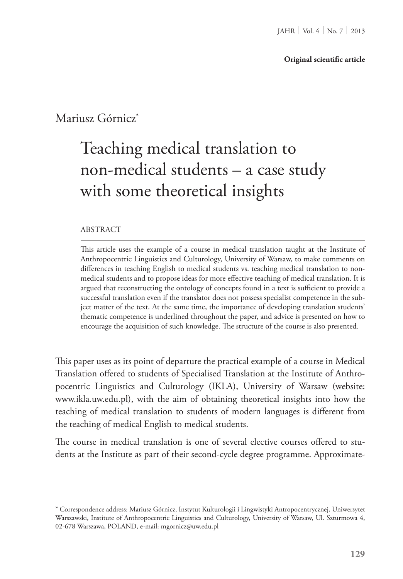Mariusz Górnicz<sup>\*</sup>

## Teaching medical translation to non-medical students – a case study with some theoretical insights

## ABSTRACT

This article uses the example of a course in medical translation taught at the Institute of Anthropocentric Linguistics and Culturology, University of Warsaw, to make comments on differences in teaching English to medical students vs. teaching medical translation to nonmedical students and to propose ideas for more effective teaching of medical translation. It is argued that reconstructing the ontology of concepts found in a text is sufficient to provide a successful translation even if the translator does not possess specialist competence in the subject matter of the text. At the same time, the importance of developing translation students' thematic competence is underlined throughout the paper, and advice is presented on how to encourage the acquisition of such knowledge. The structure of the course is also presented.

This paper uses as its point of departure the practical example of a course in Medical Translation offered to students of Specialised Translation at the Institute of Anthropocentric Linguistics and Culturology (IKLA), University of Warsaw (website: www.ikla.uw.edu.pl), with the aim of obtaining theoretical insights into how the teaching of medical translation to students of modern languages is different from the teaching of medical English to medical students.

The course in medical translation is one of several elective courses offered to students at the Institute as part of their second-cycle degree programme. Approximate-

<sup>\*</sup>Correspondence address: Mariusz Górnicz, Instytut Kulturologii i Lingwistyki Antropocentrycznej, Uniwersytet Warszawski, Institute of Anthropocentric Linguistics and Culturology, University of Warsaw, Ul. Szturmowa 4, 02-678 Warszawa, POLAND, e-mail: mgornicz@uw.edu.pl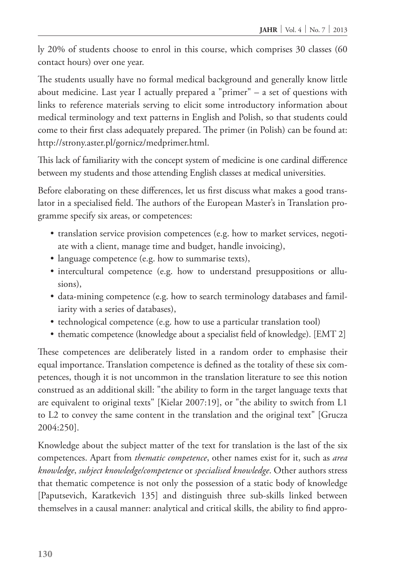ly 20% of students choose to enrol in this course, which comprises 30 classes (60 contact hours) over one year.

The students usually have no formal medical background and generally know little about medicine. Last year I actually prepared a "primer"  $-$  a set of questions with links to reference materials serving to elicit some introductory information about medical terminology and text patterns in English and Polish, so that students could come to their first class adequately prepared. The primer (in Polish) can be found at: http://strony.aster.pl/gornicz/medprimer.html.

This lack of familiarity with the concept system of medicine is one cardinal difference between my students and those attending English classes at medical universities.

Before elaborating on these differences, let us first discuss what makes a good translator in a specialised field. The authors of the European Master's in Translation programme specify six areas, or competences:

- translation service provision competences (e.g. how to market services, negotiate with a client, manage time and budget, handle invoicing),
- language competence (e.g. how to summarise texts),
- intercultural competence (e.g. how to understand presuppositions or allusions),
- data-mining competence (e.g. how to search terminology databases and familiarity with a series of databases),
- technological competence (e.g. how to use a particular translation tool)
- thematic competence (knowledge about a specialist field of knowledge). [EMT 2]

These competences are deliberately listed in a random order to emphasise their equal importance. Translation competence is defined as the totality of these six competences, though it is not uncommon in the translation literature to see this notion construed as an additional skill: "the ability to form in the target language texts that are equivalent to original texts" [Kielar 2007:19], or "the ability to switch from L1 to L2 to convey the same content in the translation and the original text" [Grucza 2004:250].

Knowledge about the subject matter of the text for translation is the last of the six competences. Apart from *thematic competence*, other names exist for it, such as *area knowledge*, *subject knowledge/competence* or *specialised knowledge*. Other authors stress that thematic competence is not only the possession of a static body of knowledge [Paputsevich, Karatkevich 135] and distinguish three sub-skills linked between themselves in a causal manner: analytical and critical skills, the ability to find appro-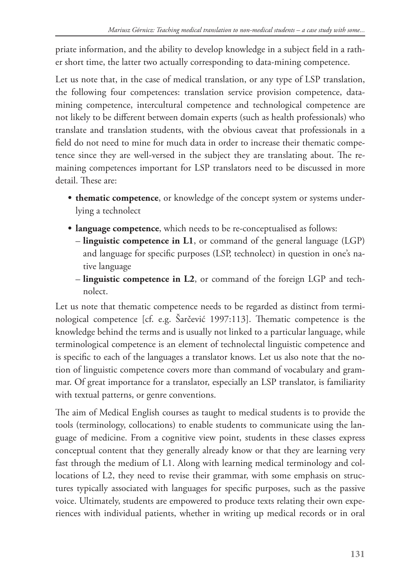priate information, and the ability to develop knowledge in a subject field in a rather short time, the latter two actually corresponding to data-mining competence.

Let us note that, in the case of medical translation, or any type of LSP translation, the following four competences: translation service provision competence, datamining competence, intercultural competence and technological competence are not likely to be different between domain experts (such as health professionals) who translate and translation students, with the obvious caveat that professionals in a field do not need to mine for much data in order to increase their thematic competence since they are well-versed in the subject they are translating about. The remaining competences important for LSP translators need to be discussed in more detail. These are:

- **thematic competence**, or knowledge of the concept system or systems underlying a technolect
- **language competence**, which needs to be re-conceptualised as follows:
	- **linguistic competence in L1**, or command of the general language (LGP) and language for specific purposes (LSP, technolect) in question in one's native language
	- **linguistic competence in L2**, or command of the foreign LGP and technolect.

Let us note that thematic competence needs to be regarded as distinct from terminological competence [cf. e.g. Šarčević 1997:113]. Thematic competence is the knowledge behind the terms and is usually not linked to a particular language, while terminological competence is an element of technolectal linguistic competence and is specific to each of the languages a translator knows. Let us also note that the notion of linguistic competence covers more than command of vocabulary and grammar. Of great importance for a translator, especially an LSP translator, is familiarity with textual patterns, or genre conventions.

The aim of Medical English courses as taught to medical students is to provide the tools (terminology, collocations) to enable students to communicate using the language of medicine. From a cognitive view point, students in these classes express conceptual content that they generally already know or that they are learning very fast through the medium of L1. Along with learning medical terminology and collocations of L2, they need to revise their grammar, with some emphasis on structures typically associated with languages for specific purposes, such as the passive voice. Ultimately, students are empowered to produce texts relating their own experiences with individual patients, whether in writing up medical records or in oral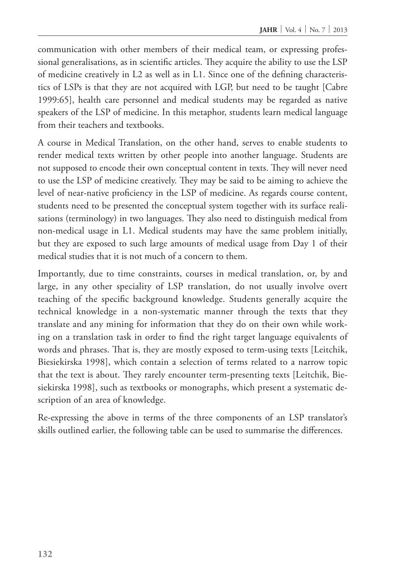communication with other members of their medical team, or expressing professional generalisations, as in scientific articles. They acquire the ability to use the LSP of medicine creatively in L2 as well as in L1. Since one of the defining characteristics of LSPs is that they are not acquired with LGP, but need to be taught [Cabre 1999:65], health care personnel and medical students may be regarded as native speakers of the LSP of medicine. In this metaphor, students learn medical language from their teachers and textbooks.

A course in Medical Translation, on the other hand, serves to enable students to render medical texts written by other people into another language. Students are not supposed to encode their own conceptual content in texts. They will never need to use the LSP of medicine creatively. They may be said to be aiming to achieve the level of near-native proficiency in the LSP of medicine. As regards course content, students need to be presented the conceptual system together with its surface realisations (terminology) in two languages. They also need to distinguish medical from non-medical usage in L1. Medical students may have the same problem initially, but they are exposed to such large amounts of medical usage from Day 1 of their medical studies that it is not much of a concern to them.

Importantly, due to time constraints, courses in medical translation, or, by and large, in any other speciality of LSP translation, do not usually involve overt teaching of the specific background knowledge. Students generally acquire the technical knowledge in a non-systematic manner through the texts that they translate and any mining for information that they do on their own while working on a translation task in order to find the right target language equivalents of words and phrases. That is, they are mostly exposed to term-using texts [Leitchik, Biesiekirska 1998], which contain a selection of terms related to a narrow topic that the text is about. They rarely encounter term-presenting texts [Leitchik, Biesiekirska 1998], such as textbooks or monographs, which present a systematic description of an area of knowledge.

Re-expressing the above in terms of the three components of an LSP translator's skills outlined earlier, the following table can be used to summarise the differences.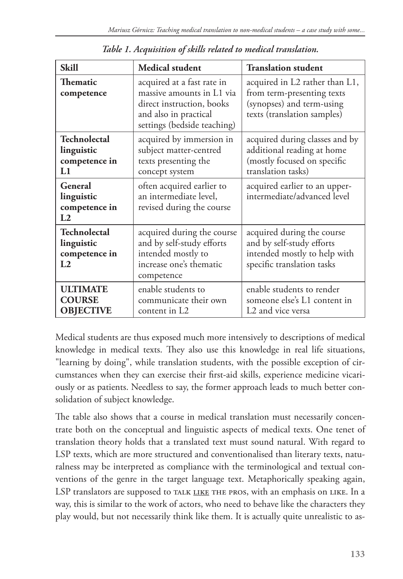| <b>Skill</b>                                                         | <b>Medical student</b>                                                                                                                       | <b>Translation student</b>                                                                                               |
|----------------------------------------------------------------------|----------------------------------------------------------------------------------------------------------------------------------------------|--------------------------------------------------------------------------------------------------------------------------|
| <b>Thematic</b><br>competence                                        | acquired at a fast rate in<br>massive amounts in L1 via<br>direct instruction, books<br>and also in practical<br>settings (bedside teaching) | acquired in L2 rather than L1,<br>from term-presenting texts<br>(synopses) and term-using<br>texts (translation samples) |
| <b>Technolectal</b><br>linguistic<br>competence in<br>L1             | acquired by immersion in<br>subject matter-centred<br>texts presenting the<br>concept system                                                 | acquired during classes and by<br>additional reading at home<br>(mostly focused on specific<br>translation tasks)        |
| General<br>linguistic<br>competence in<br>L2                         | often acquired earlier to<br>an intermediate level,<br>revised during the course                                                             | acquired earlier to an upper-<br>intermediate/advanced level                                                             |
| <b>Technolectal</b><br>linguistic<br>competence in<br>L <sub>2</sub> | acquired during the course<br>and by self-study efforts<br>intended mostly to<br>increase one's thematic<br>competence                       | acquired during the course<br>and by self-study efforts<br>intended mostly to help with<br>specific translation tasks    |
| <b>ULTIMATE</b><br><b>COURSE</b><br><b>OBJECTIVE</b>                 | enable students to<br>communicate their own<br>content in L2                                                                                 | enable students to render<br>someone else's L1 content in<br>L <sub>2</sub> and vice versa                               |

*Table 1. Acquisition of skills related to medical translation.*

Medical students are thus exposed much more intensively to descriptions of medical knowledge in medical texts. They also use this knowledge in real life situations, "learning by doing", while translation students, with the possible exception of circumstances when they can exercise their first-aid skills, experience medicine vicariously or as patients. Needless to say, the former approach leads to much better consolidation of subject knowledge.

The table also shows that a course in medical translation must necessarily concentrate both on the conceptual and linguistic aspects of medical texts. One tenet of translation theory holds that a translated text must sound natural. With regard to LSP texts, which are more structured and conventionalised than literary texts, naturalness may be interpreted as compliance with the terminological and textual conventions of the genre in the target language text. Metaphorically speaking again, LSP translators are supposed to TALK LIKE THE PROS, with an emphasis on LIKE. In a way, this is similar to the work of actors, who need to behave like the characters they play would, but not necessarily think like them. It is actually quite unrealistic to as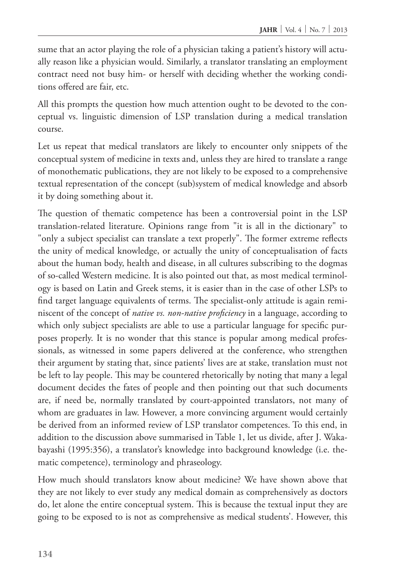sume that an actor playing the role of a physician taking a patient's history will actually reason like a physician would. Similarly, a translator translating an employment contract need not busy him- or herself with deciding whether the working conditions offered are fair, etc.

All this prompts the question how much attention ought to be devoted to the conceptual vs. linguistic dimension of LSP translation during a medical translation course.

Let us repeat that medical translators are likely to encounter only snippets of the conceptual system of medicine in texts and, unless they are hired to translate a range of monothematic publications, they are not likely to be exposed to a comprehensive textual representation of the concept (sub)system of medical knowledge and absorb it by doing something about it.

The question of thematic competence has been a controversial point in the LSP translation-related literature. Opinions range from "it is all in the dictionary" to "only a subject specialist can translate a text properly". The former extreme reflects the unity of medical knowledge, or actually the unity of conceptualisation of facts about the human body, health and disease, in all cultures subscribing to the dogmas of so-called Western medicine. It is also pointed out that, as most medical terminology is based on Latin and Greek stems, it is easier than in the case of other LSPs to find target language equivalents of terms. The specialist-only attitude is again reminiscent of the concept of *native vs. non-native proficiency* in a language, according to which only subject specialists are able to use a particular language for specific purposes properly. It is no wonder that this stance is popular among medical professionals, as witnessed in some papers delivered at the conference, who strengthen their argument by stating that, since patients' lives are at stake, translation must not be left to lay people. This may be countered rhetorically by noting that many a legal document decides the fates of people and then pointing out that such documents are, if need be, normally translated by court-appointed translators, not many of whom are graduates in law. However, a more convincing argument would certainly be derived from an informed review of LSP translator competences. To this end, in addition to the discussion above summarised in Table 1, let us divide, after J. Wakabayashi (1995:356), a translator's knowledge into background knowledge (i.e. thematic competence), terminology and phraseology.

How much should translators know about medicine? We have shown above that they are not likely to ever study any medical domain as comprehensively as doctors do, let alone the entire conceptual system. This is because the textual input they are going to be exposed to is not as comprehensive as medical students'. However, this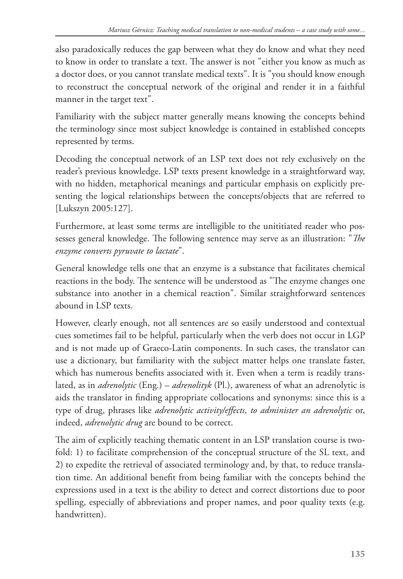also paradoxically reduces the gap between what they do know and what they need to know in order to translate a text. The answer is not "either you know as much as a doctor does, or you cannot translate medical texts". It is "you should know enough to reconstruct the conceptual network of the original and render it in a faithful manner in the target text".

Familiarity with the subject matter generally means knowing the concepts behind the terminology since most subject knowledge is contained in established concepts represented by terms.

Decoding the conceptual network of an LSP text does not rely exclusively on the reader's previous knowledge. LSP texts present knowledge in a straightforward way, with no hidden, metaphorical meanings and particular emphasis on explicitly presenting the logical relationships between the concepts/objects that are referred to [Lukszyn 2005:127].

Furthermore, at least some terms are intelligible to the unititiated reader who possesses general knowledge. The following sentence may serve as an illustration: "*The enzyme converts pyruvate to lactate*".

General knowledge tells one that an enzyme is a substance that facilitates chemical reactions in the body. The sentence will be understood as "The enzyme changes one substance into another in a chemical reaction". Similar straightforward sentences abound in LSP texts.

However, clearly enough, not all sentences are so easily understood and contextual cues sometimes fail to be helpful, particularly when the verb does not occur in LGP and is not made up of Graeco-Latin components. In such cases, the translator can use a dictionary, but familiarity with the subject matter helps one translate faster, which has numerous benefits associated with it. Even when a term is readily translated, as in *adrenolytic* (Eng.) – *adrenolityk* (Pl.), awareness of what an adrenolytic is aids the translator in finding appropriate collocations and synonyms: since this is a type of drug, phrases like *adrenolytic activity/effects, to administer an adrenolytic* or, indeed, *adrenolytic drug* are bound to be correct.

The aim of explicitly teaching thematic content in an LSP translation course is twofold: 1) to facilitate comprehension of the conceptual structure of the SL text, and 2) to expedite the retrieval of associated terminology and, by that, to reduce translation time. An additional benefit from being familiar with the concepts behind the expressions used in a text is the ability to detect and correct distortions due to poor spelling, especially of abbreviations and proper names, and poor quality texts (e.g. handwritten).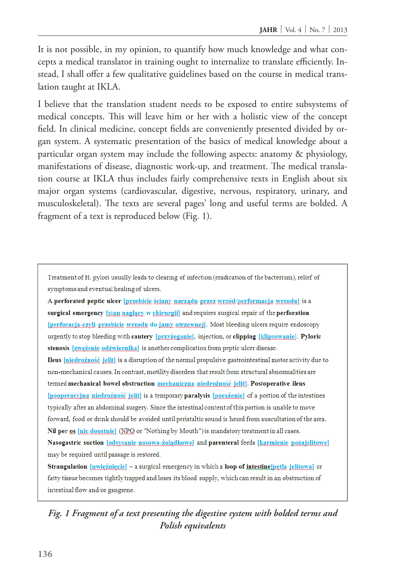It is not possible, in my opinion, to quantify how much knowledge and what concepts a medical translator in training ought to internalize to translate efficiently. Instead, I shall offer a few qualitative guidelines based on the course in medical translation taught at IKLA.

I believe that the translation student needs to be exposed to entire subsystems of medical concepts. This will leave him or her with a holistic view of the concept field. In clinical medicine, concept fields are conveniently presented divided by organ system. A systematic presentation of the basics of medical knowledge about a particular organ system may include the following aspects: anatomy & physiology, manifestations of disease, diagnostic work-up, and treatment. The medical translation course at IKLA thus includes fairly comprehensive texts in English about six major organ systems (cardiovascular, digestive, nervous, respiratory, urinary, and musculoskeletal). The texts are several pages' long and useful terms are bolded. A fragment of a text is reproduced below (Fig. 1).

Treatment of H. pylori usually leads to clearing of infection (eradication of the bacterium), relief of symptoms and eventual healing of ulcers.

A perforated peptic ulcer [przebicie ściany narządu przez wrzód/performacja wrzodu] is a surgical emergency [stan naglacy w chirurgii] and requires surgical repair of the perforation [perforacia-czyli przebicie wrzodu do jamy otrzewnej]. Most bleeding ulcers require endoscopy urgently to stop bleeding with cautery [przyżeganie], injection, or clipping [klipsowanie]. Pyloric stenosis [zweżenie odźwiernika] is another complication from peptic ulcer disease. Ileus *[niedrożność je]it]* is a disruption of the normal propulsive gastrointestinal motor activity due to non-mechanical causes. In contrast, motility disorders that result from structural abnormalities are termed mechanical bowel obstruction mechaniczna niedrożność jelit]. Postoperative ileus [pooperacyjna niedrożność jelit] is a temporary paralysis [porażenie] of a portion of the intestines typically after an abdominal surgery. Since the intestinal content of this portion is unable to move forward, food or drink should be avoided until peristaltic sound is heard from auscultation of the area. Nil per os [nic doustnie] (NPO or "Nothing by Mouth") is mandatory treatment in all cases. Nasogastric suction [odsysanie nosowo-żołądkowe] and parenteral feeds [karmienie pozajelitowe] may be required until passage is restored.

Strangulation [uxiezniecie] - a surgical emergency in which a loop of intestine[petla jelitowa] or fatty tissue becomes tightly trapped and loses its blood supply, which can result in an obstruction of intestinal flow and/or gangrene.

## *Fig. 1 Fragment of a text presenting the digestive system with bolded terms and Polish equivalents*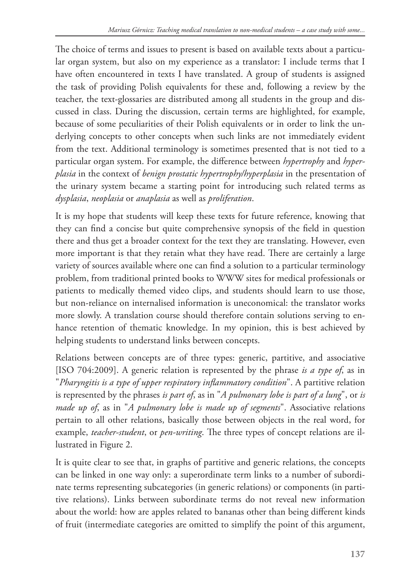The choice of terms and issues to present is based on available texts about a particular organ system, but also on my experience as a translator: I include terms that I have often encountered in texts I have translated. A group of students is assigned the task of providing Polish equivalents for these and, following a review by the teacher, the text-glossaries are distributed among all students in the group and discussed in class. During the discussion, certain terms are highlighted, for example, because of some peculiarities of their Polish equivalents or in order to link the underlying concepts to other concepts when such links are not immediately evident from the text. Additional terminology is sometimes presented that is not tied to a particular organ system. For example, the difference between *hypertrophy* and *hyperplasia* in the context of *benign prostatic hypertrophy/hyperplasia* in the presentation of the urinary system became a starting point for introducing such related terms as *dysplasia*, *neoplasia* or *anaplasia* as well as *proliferation*.

It is my hope that students will keep these texts for future reference, knowing that they can find a concise but quite comprehensive synopsis of the field in question there and thus get a broader context for the text they are translating. However, even more important is that they retain what they have read. There are certainly a large variety of sources available where one can find a solution to a particular terminology problem, from traditional printed books to WWW sites for medical professionals or patients to medically themed video clips, and students should learn to use those, but non-reliance on internalised information is uneconomical: the translator works more slowly. A translation course should therefore contain solutions serving to enhance retention of thematic knowledge. In my opinion, this is best achieved by helping students to understand links between concepts.

Relations between concepts are of three types: generic, partitive, and associative [ISO 704:2009]. A generic relation is represented by the phrase *is a type of*, as in "*Pharyngitis is a type of upper respiratory inflammatory condition*". A partitive relation is represented by the phrases *is part of*, as in "*A pulmonary lobe is part of a lung*", or *is made up of*, as in "*A pulmonary lobe is made up of segments*". Associative relations pertain to all other relations, basically those between objects in the real word, for example, *teacher-student*, or *pen-writing*. The three types of concept relations are illustrated in Figure 2.

It is quite clear to see that, in graphs of partitive and generic relations, the concepts can be linked in one way only: a superordinate term links to a number of subordinate terms representing subcategories (in generic relations) or components (in partitive relations). Links between subordinate terms do not reveal new information about the world: how are apples related to bananas other than being different kinds of fruit (intermediate categories are omitted to simplify the point of this argument,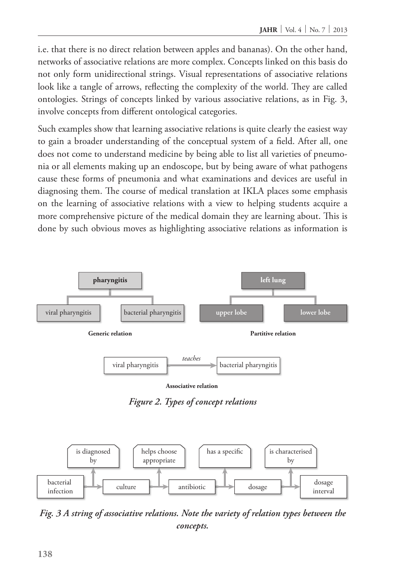i.e. that there is no direct relation between apples and bananas). On the other hand, networks of associative relations are more complex. Concepts linked on this basis do not only form unidirectional strings. Visual representations of associative relations look like a tangle of arrows, reflecting the complexity of the world. They are called ontologies. Strings of concepts linked by various associative relations, as in Fig. 3, involve concepts from different ontological categories.

Such examples show that learning associative relations is quite clearly the easiest way to gain a broader understanding of the conceptual system of a field. After all, one does not come to understand medicine by being able to list all varieties of pneumonia or all elements making up an endoscope, but by being aware of what pathogens cause these forms of pneumonia and what examinations and devices are useful in diagnosing them. The course of medical translation at IKLA places some emphasis on the learning of associative relations with a view to helping students acquire a more comprehensive picture of the medical domain they are learning about. This is done by such obvious moves as highlighting associative relations as information is





*Fig. 3 A string of associative relations. Note the variety of relation types between the concepts.*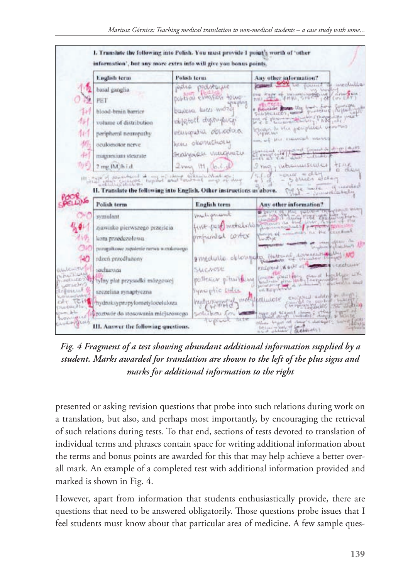

*Fig. 4 Fragment of a test showing abundant additional information supplied by a student. Marks awarded for translation are shown to the left of the plus signs and marks for additional information to the right*

presented or asking revision questions that probe into such relations during work on a translation, but also, and perhaps most importantly, by encouraging the retrieval of such relations during tests. To that end, sections of tests devoted to translation of individual terms and phrases contain space for writing additional information about the terms and bonus points are awarded for this that may help achieve a better overall mark. An example of a completed test with additional information provided and marked is shown in Fig. 4.

However, apart from information that students enthusiastically provide, there are questions that need to be answered obligatorily. Those questions probe issues that I feel students must know about that particular area of medicine. A few sample ques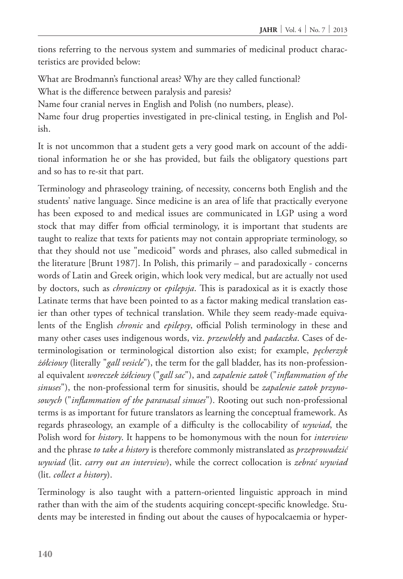tions referring to the nervous system and summaries of medicinal product characteristics are provided below:

What are Brodmann's functional areas? Why are they called functional? What is the difference between paralysis and paresis?

Name four cranial nerves in English and Polish (no numbers, please).

Name four drug properties investigated in pre-clinical testing, in English and Polish.

It is not uncommon that a student gets a very good mark on account of the additional information he or she has provided, but fails the obligatory questions part and so has to re-sit that part.

Terminology and phraseology training, of necessity, concerns both English and the students' native language. Since medicine is an area of life that practically everyone has been exposed to and medical issues are communicated in LGP using a word stock that may differ from official terminology, it is important that students are taught to realize that texts for patients may not contain appropriate terminology, so that they should not use "medicoid" words and phrases, also called submedical in the literature [Brunt 1987]. In Polish, this primarily – and paradoxically - concerns words of Latin and Greek origin, which look very medical, but are actually not used by doctors, such as *chroniczny* or *epilepsja*. This is paradoxical as it is exactly those Latinate terms that have been pointed to as a factor making medical translation easier than other types of technical translation. While they seem ready-made equivalents of the English *chronic* and *epilepsy*, official Polish terminology in these and many other cases uses indigenous words, viz. *przewlekły* and *padaczka*. Cases of determinologisation or terminological distortion also exist; for example, *pęcherzyk żółciowy* (literally "*gall vesicle*"), the term for the gall bladder, has its non-professional equivalent *woreczek żółciowy* ("*gall sac*"), and *zapalenie zatok* ("*inflammation of the sinuses*"), the non-professional term for sinusitis, should be *zapalenie zatok przynosowych* ("*inflammation of the paranasal sinuses*"). Rooting out such non-professional terms is as important for future translators as learning the conceptual framework. As regards phraseology, an example of a difficulty is the collocability of *wywiad*, the Polish word for *history*. It happens to be homonymous with the noun for *interview* and the phrase *to take a history* is therefore commonly mistranslated as *przeprowadzić wywiad* (lit. *carry out an interview*), while the correct collocation is *zebrać wywiad* (lit. *collect a history*).

Terminology is also taught with a pattern-oriented linguistic approach in mind rather than with the aim of the students acquiring concept-specific knowledge. Students may be interested in finding out about the causes of hypocalcaemia or hyper-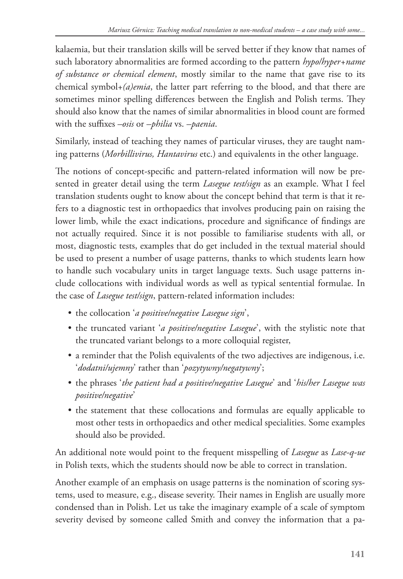kalaemia, but their translation skills will be served better if they know that names of such laboratory abnormalities are formed according to the pattern *hypo/hyper+name of substance or chemical element*, mostly similar to the name that gave rise to its chemical symbol+*(a)emia*, the latter part referring to the blood, and that there are sometimes minor spelling differences between the English and Polish terms. They should also know that the names of similar abnormalities in blood count are formed with the suffixes *–osis* or *–philia* vs. *–paenia*.

Similarly, instead of teaching they names of particular viruses, they are taught naming patterns (*Morbillivirus, Hantavirus* etc.) and equivalents in the other language.

The notions of concept-specific and pattern-related information will now be presented in greater detail using the term *Lasegue test/sign* as an example. What I feel translation students ought to know about the concept behind that term is that it refers to a diagnostic test in orthopaedics that involves producing pain on raising the lower limb, while the exact indications, procedure and significance of findings are not actually required. Since it is not possible to familiarise students with all, or most, diagnostic tests, examples that do get included in the textual material should be used to present a number of usage patterns, thanks to which students learn how to handle such vocabulary units in target language texts. Such usage patterns include collocations with individual words as well as typical sentential formulae. In the case of *Lasegue test/sign*, pattern-related information includes:

- • the collocation '*a positive/negative Lasegue sign*',
- the truncated variant *'a positive/negative Lasegue*', with the stylistic note that the truncated variant belongs to a more colloquial register,
- a reminder that the Polish equivalents of the two adjectives are indigenous, i.e. '*dodatni/ujemny*' rather than '*pozytywny/negatywny*';
- • the phrases '*the patient had a positive/negative Lasegue*' and '*his/her Lasegue was positive/negative*'
- the statement that these collocations and formulas are equally applicable to most other tests in orthopaedics and other medical specialities. Some examples should also be provided.

An additional note would point to the frequent misspelling of *Lasegue* as *Lase-q-ue* in Polish texts, which the students should now be able to correct in translation.

Another example of an emphasis on usage patterns is the nomination of scoring systems, used to measure, e.g., disease severity. Their names in English are usually more condensed than in Polish. Let us take the imaginary example of a scale of symptom severity devised by someone called Smith and convey the information that a pa-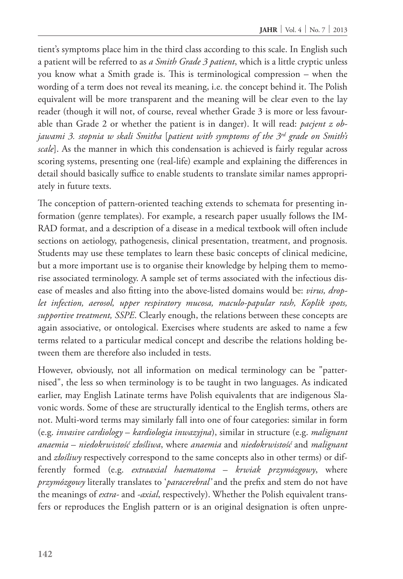tient's symptoms place him in the third class according to this scale. In English such a patient will be referred to as *a Smith Grade 3 patient*, which is a little cryptic unless you know what a Smith grade is. This is terminological compression – when the wording of a term does not reveal its meaning, i.e. the concept behind it. The Polish equivalent will be more transparent and the meaning will be clear even to the lay reader (though it will not, of course, reveal whether Grade 3 is more or less favourable than Grade 2 or whether the patient is in danger). It will read: *pacjent z objawami 3. stopnia w skali Smitha* [*patient with symptoms of the 3rd grade on Smith's scale*]. As the manner in which this condensation is achieved is fairly regular across scoring systems, presenting one (real-life) example and explaining the differences in detail should basically suffice to enable students to translate similar names appropriately in future texts.

The conception of pattern-oriented teaching extends to schemata for presenting information (genre templates). For example, a research paper usually follows the IM-RAD format, and a description of a disease in a medical textbook will often include sections on aetiology, pathogenesis, clinical presentation, treatment, and prognosis. Students may use these templates to learn these basic concepts of clinical medicine, but a more important use is to organise their knowledge by helping them to memorise associated terminology. A sample set of terms associated with the infectious disease of measles and also fitting into the above-listed domains would be: *virus, droplet infection, aerosol, upper respiratory mucosa, maculo-papular rash, Koplik spots, supportive treatment, SSPE*. Clearly enough, the relations between these concepts are again associative, or ontological. Exercises where students are asked to name a few terms related to a particular medical concept and describe the relations holding between them are therefore also included in tests.

However, obviously, not all information on medical terminology can be "patternised", the less so when terminology is to be taught in two languages. As indicated earlier, may English Latinate terms have Polish equivalents that are indigenous Slavonic words. Some of these are structurally identical to the English terms, others are not. Multi-word terms may similarly fall into one of four categories: similar in form (e.g. *invasive cardiology* – *kardiologia inwazyjna*), similar in structure (e.g. *malignant anaemia* – *niedokrwistość złośliwa*, where *anaemia* and *niedokrwistość* and *malignant* and *złośliwy* respectively correspond to the same concepts also in other terms) or differently formed (e.g. *extraaxial haematoma* – *krwiak przymózgowy*, where *przymózgowy* literally translates to '*paracerebral'* and the prefix and stem do not have the meanings of *extra-* and *-axial*, respectively). Whether the Polish equivalent transfers or reproduces the English pattern or is an original designation is often unpre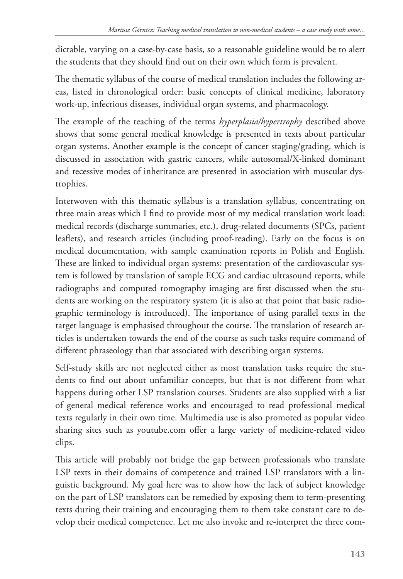dictable, varying on a case-by-case basis, so a reasonable guideline would be to alert the students that they should find out on their own which form is prevalent.

The thematic syllabus of the course of medical translation includes the following areas, listed in chronological order: basic concepts of clinical medicine, laboratory work-up, infectious diseases, individual organ systems, and pharmacology.

The example of the teaching of the terms *hyperplasia/hypertrophy* described above shows that some general medical knowledge is presented in texts about particular organ systems. Another example is the concept of cancer staging/grading, which is discussed in association with gastric cancers, while autosomal/X-linked dominant and recessive modes of inheritance are presented in association with muscular dystrophies.

Interwoven with this thematic syllabus is a translation syllabus, concentrating on three main areas which I find to provide most of my medical translation work load: medical records (discharge summaries, etc.), drug-related documents (SPCs, patient leaflets), and research articles (including proof-reading). Early on the focus is on medical documentation, with sample examination reports in Polish and English. These are linked to individual organ systems: presentation of the cardiovascular system is followed by translation of sample ECG and cardiac ultrasound reports, while radiographs and computed tomography imaging are first discussed when the students are working on the respiratory system (it is also at that point that basic radiographic terminology is introduced). The importance of using parallel texts in the target language is emphasised throughout the course. The translation of research articles is undertaken towards the end of the course as such tasks require command of different phraseology than that associated with describing organ systems.

Self-study skills are not neglected either as most translation tasks require the students to find out about unfamiliar concepts, but that is not different from what happens during other LSP translation courses. Students are also supplied with a list of general medical reference works and encouraged to read professional medical texts regularly in their own time. Multimedia use is also promoted as popular video sharing sites such as youtube.com offer a large variety of medicine-related video clips.

This article will probably not bridge the gap between professionals who translate LSP texts in their domains of competence and trained LSP translators with a linguistic background. My goal here was to show how the lack of subject knowledge on the part of LSP translators can be remedied by exposing them to term-presenting texts during their training and encouraging them to them take constant care to develop their medical competence. Let me also invoke and re-interpret the three com